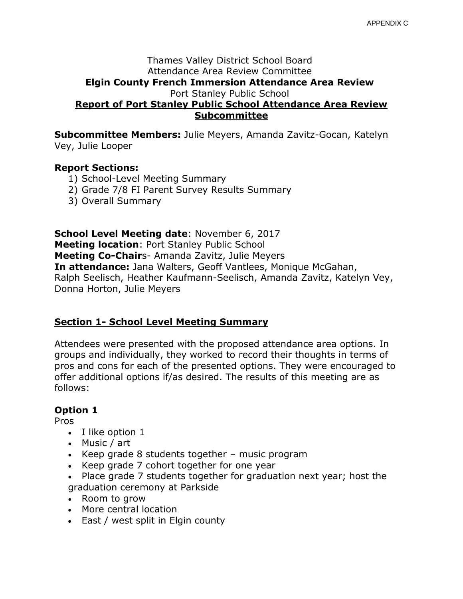#### Thames Valley District School Board Attendance Area Review Committee **Elgin County French Immersion Attendance Area Review** Port Stanley Public School **Report of Port Stanley Public School Attendance Area Review Subcommittee**

**Subcommittee Members:** Julie Meyers, Amanda Zavitz-Gocan, Katelyn Vey, Julie Looper

### **Report Sections:**

- 1) School-Level Meeting Summary
- 2) Grade 7/8 FI Parent Survey Results Summary
- 3) Overall Summary

**School Level Meeting date**: November 6, 2017 **Meeting location**: Port Stanley Public School **Meeting Co-Chair**s- Amanda Zavitz, Julie Meyers **In attendance:** Jana Walters, Geoff Vantlees, Monique McGahan, Ralph Seelisch, Heather Kaufmann-Seelisch, Amanda Zavitz, Katelyn Vey, Donna Horton, Julie Meyers

### **Section 1- School Level Meeting Summary**

Attendees were presented with the proposed attendance area options. In groups and individually, they worked to record their thoughts in terms of pros and cons for each of the presented options. They were encouraged to offer additional options if/as desired. The results of this meeting are as follows:

### **Option 1**

Pros

- I like option 1
- Music / art
- Extempt Geep grade 8 students together music program
- Keep grade 7 cohort together for one year
- Place grade 7 students together for graduation next year; host the graduation ceremony at Parkside
- Room to grow
- More central location
- East / west split in Elgin county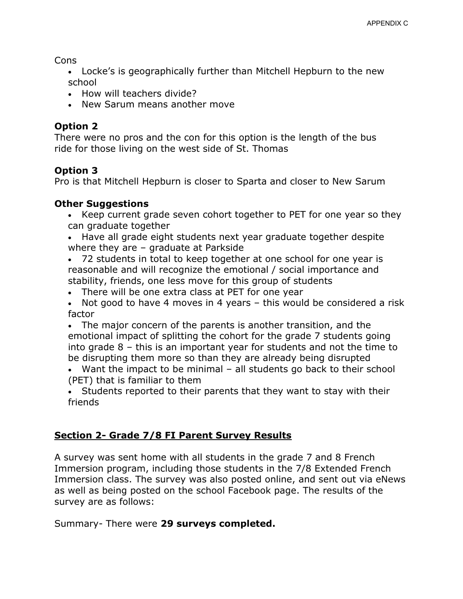Cons

- Locke's is geographically further than Mitchell Hepburn to the new school
- How will teachers divide?
- New Sarum means another move

## **Option 2**

There were no pros and the con for this option is the length of the bus ride for those living on the west side of St. Thomas

# **Option 3**

Pro is that Mitchell Hepburn is closer to Sparta and closer to New Sarum

## **Other Suggestions**

- Keep current grade seven cohort together to PET for one year so they can graduate together
- Have all grade eight students next year graduate together despite where they are – graduate at Parkside
- 72 students in total to keep together at one school for one year is reasonable and will recognize the emotional / social importance and stability, friends, one less move for this group of students
- There will be one extra class at PET for one year
- Not good to have 4 moves in 4 years this would be considered a risk factor
- The major concern of the parents is another transition, and the emotional impact of splitting the cohort for the grade 7 students going into grade 8 – this is an important year for students and not the time to be disrupting them more so than they are already being disrupted
- Want the impact to be minimal all students go back to their school (PET) that is familiar to them
- Students reported to their parents that they want to stay with their friends

# **Section 2- Grade 7/8 FI Parent Survey Results**

A survey was sent home with all students in the grade 7 and 8 French Immersion program, including those students in the 7/8 Extended French Immersion class. The survey was also posted online, and sent out via eNews as well as being posted on the school Facebook page. The results of the survey are as follows:

Summary- There were **29 surveys completed.**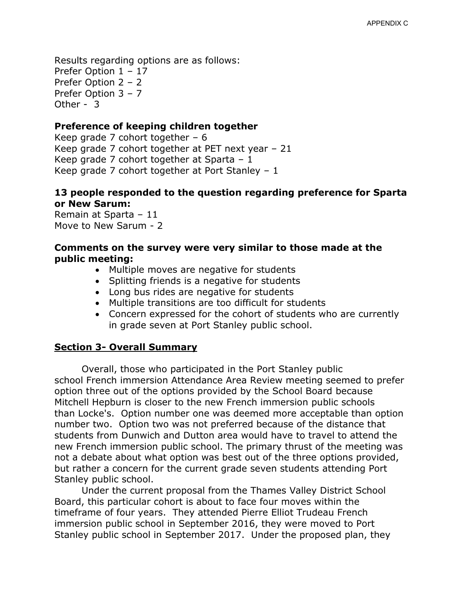Results regarding options are as follows: Prefer Option 1 – 17 Prefer Option 2 – 2 Prefer Option 3 – 7 Other - 3

#### **Preference of keeping children together**

Keep grade 7 cohort together  $-6$ Keep grade 7 cohort together at PET next year – 21 Keep grade 7 cohort together at Sparta – 1 Keep grade 7 cohort together at Port Stanley – 1

### **13 people responded to the question regarding preference for Sparta or New Sarum:**

Remain at Sparta – 11 Move to New Sarum - 2

#### **Comments on the survey were very similar to those made at the public meeting:**

- Multiple moves are negative for students
- Splitting friends is a negative for students
- Long bus rides are negative for students
- Multiple transitions are too difficult for students
- Concern expressed for the cohort of students who are currently in grade seven at Port Stanley public school.

#### **Section 3- Overall Summary**

Overall, those who participated in the Port Stanley public school French immersion Attendance Area Review meeting seemed to prefer option three out of the options provided by the School Board because Mitchell Hepburn is closer to the new French immersion public schools than Locke's. Option number one was deemed more acceptable than option number two. Option two was not preferred because of the distance that students from Dunwich and Dutton area would have to travel to attend the new French immersion public school. The primary thrust of the meeting was not a debate about what option was best out of the three options provided, but rather a concern for the current grade seven students attending Port Stanley public school.

Under the current proposal from the Thames Valley District School Board, this particular cohort is about to face four moves within the timeframe of four years. They attended Pierre Elliot Trudeau French immersion public school in September 2016, they were moved to Port Stanley public school in September 2017. Under the proposed plan, they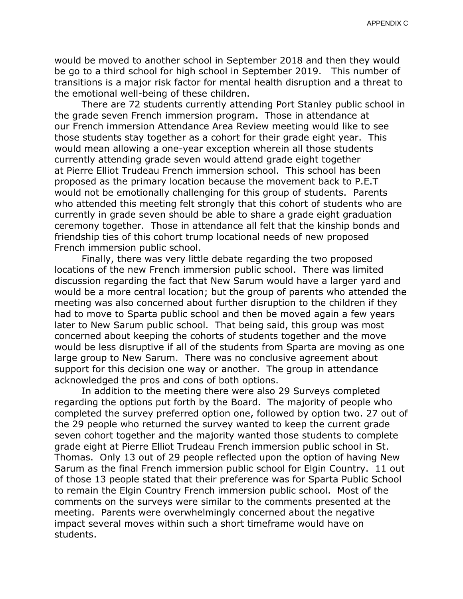would be moved to another school in September 2018 and then they would be go to a third school for high school in September 2019. This number of transitions is a major risk factor for mental health disruption and a threat to the emotional well-being of these children.

There are 72 students currently attending Port Stanley public school in the grade seven French immersion program. Those in attendance at our French immersion Attendance Area Review meeting would like to see those students stay together as a cohort for their grade eight year. This would mean allowing a one-year exception wherein all those students currently attending grade seven would attend grade eight together at Pierre Elliot Trudeau French immersion school. This school has been proposed as the primary location because the movement back to P.E.T would not be emotionally challenging for this group of students. Parents who attended this meeting felt strongly that this cohort of students who are currently in grade seven should be able to share a grade eight graduation ceremony together. Those in attendance all felt that the kinship bonds and friendship ties of this cohort trump locational needs of new proposed French immersion public school.

Finally, there was very little debate regarding the two proposed locations of the new French immersion public school. There was limited discussion regarding the fact that New Sarum would have a larger yard and would be a more central location; but the group of parents who attended the meeting was also concerned about further disruption to the children if they had to move to Sparta public school and then be moved again a few years later to New Sarum public school. That being said, this group was most concerned about keeping the cohorts of students together and the move would be less disruptive if all of the students from Sparta are moving as one large group to New Sarum. There was no conclusive agreement about support for this decision one way or another. The group in attendance acknowledged the pros and cons of both options.

In addition to the meeting there were also 29 Surveys completed regarding the options put forth by the Board. The majority of people who completed the survey preferred option one, followed by option two. 27 out of the 29 people who returned the survey wanted to keep the current grade seven cohort together and the majority wanted those students to complete grade eight at Pierre Elliot Trudeau French immersion public school in St. Thomas. Only 13 out of 29 people reflected upon the option of having New Sarum as the final French immersion public school for Elgin Country. 11 out of those 13 people stated that their preference was for Sparta Public School to remain the Elgin Country French immersion public school. Most of the comments on the surveys were similar to the comments presented at the meeting. Parents were overwhelmingly concerned about the negative impact several moves within such a short timeframe would have on students.